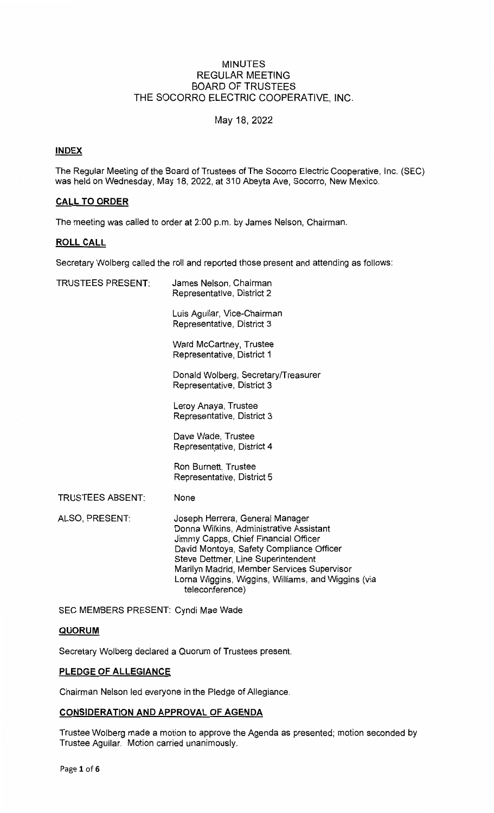## MINUTES REGULAR MEETING BOARD OF TRUSTEES THE SOCORRO ELECTRIC COOPERATIVE, **INC.**

# May 18, 2022

# **INDEX**

The Regular Meeting of the Board of Trustees of The Socorro Electric Cooperative, Inc. (SEC) was held on Wednesday, May 18, 2022, at 310 Abeyta Ave, Socorro, New Mexico.

# **CALL TO ORDER**

The meeting was called to order at 2:00 p.m. by James Nelson, Chairman.

# **ROLL CALL**

Secretary Wolberg called the roll and reported those present and attending as follows:

| <b>TRUSTEES PRESENT:</b> | James Nelson, Chairman<br>Representative, District 2                                                                                                                                                                                                                                                                        |
|--------------------------|-----------------------------------------------------------------------------------------------------------------------------------------------------------------------------------------------------------------------------------------------------------------------------------------------------------------------------|
|                          | Luis Aguilar, Vice-Chairman<br>Representative, District 3                                                                                                                                                                                                                                                                   |
|                          | Ward McCartney, Trustee<br>Representative, District 1                                                                                                                                                                                                                                                                       |
|                          | Donald Wolberg, Secretary/Treasurer<br>Representative, District 3                                                                                                                                                                                                                                                           |
|                          | Leroy Anaya, Trustee<br>Representative, District 3                                                                                                                                                                                                                                                                          |
|                          | Dave Wade, Trustee<br>Representative, District 4                                                                                                                                                                                                                                                                            |
|                          | Ron Burnett, Trustee<br>Representative, District 5                                                                                                                                                                                                                                                                          |
| <b>TRUSTEES ABSENT:</b>  | None                                                                                                                                                                                                                                                                                                                        |
| ALSO, PRESENT:           | Joseph Herrera, General Manager<br>Donna Wilkins, Administrative Assistant<br>Jimmy Capps, Chief Financial Officer<br>David Montoya, Safety Compliance Officer<br>Steve Dettmer, Line Superintendent<br>Marilyn Madrid, Member Services Supervisor<br>Lorna Wiggins, Wiggins, Williams, and Wiggins (via<br>teleconference) |

SEC MEMBERS PRESENT: Cyndi Mae Wade

# **QUORUM**

Secretary Wolberg declared a Quorum of Trustees present.

# **PLEDGE OF ALLEGIANCE**

Chairman Nelson led everyone in the Pledge of Allegiance.

# **CONSIDERATION AND APPROVAL OF AGENDA**

Trustee Wolberg made a motion to approve the Agenda as presented; motion seconded by Trustee Aguilar. Motion carried unanimously.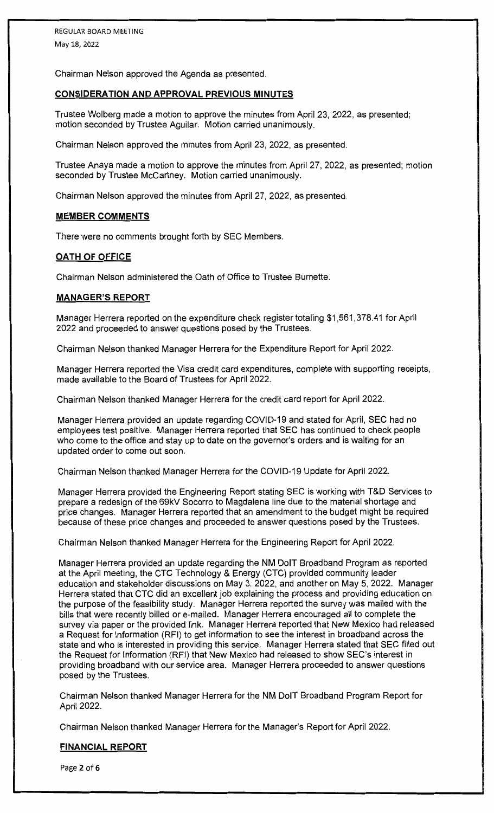Chairman Nelson approved the Agenda as presented.

## **CONSIDERATION AND APPROVAL PREVIOUS MINUTES**

Trustee Wolberg made a motion to approve the minutes from April 23, 2022, as presented; motion seconded by Trustee Aguilar. Motion carried unanimously.

Chairman Nelson approved the minutes from April 23, 2022, as presented.

Trustee Anaya made a motion to approve the minutes from April 27, 2022, as presented; motion seconded by Trustee McCartney. Motion carried unanimously.

Chairman Nelson approved the minutes from April 27, 2022, as presented.

#### **MEMBER COMMENTS**

There were no comments brought forth by SEC Members.

## **OATH OF OFFICE**

Chairman Nelson administered the Oath of Office to Trustee Burnette.

## **MANAGER'S REPORT**

Manager Herrera reported on the expenditure check register totaling \$1,561,378.41 for April 2022 and proceeded to answer questions posed by the Trustees.

Chairman Nelson thanked Manager Herrera for the Expenditure Report for April 2022.

Manager Herrera reported the Visa credit card expenditures, complete with supporting receipts, made available to the Board of Trustees for April 2022.

Chairman Nelson thanked Manager Herrera for the credit card report for April 2022.

Manager Herrera provided an update regarding COVID-19 and stated for April, SEC had no employees test positive. Manager Herrera reported that SEC has continued to check people who come to the office and stay up to date on the governor's orders and is waiting for an updated order to come out soon.

Chairman Nelson thanked Manager Herrera for the COVID-19 Update for April 2022.

Manager Herrera provided the Engineering Report stating SEC is working with T&D Services to prepare a redesign of the 69kV Socorro to Magdalena line due to the material shortage and price changes. Manager Herrera reported that an amendment to the budget might be required because of these price changes and proceeded to answer questions posed by the Trustees.

Chairman Nelson thanked Manager Herrera for the Engineering Report for April 2022.

Manager Herrera provided an update regarding the NM DolT Broadband Program as reported at the April meeting, the CTC Technology & Energy (CTC) provided community leader education and stakeholder discussions on May 3, 2022, and another on May 5, 2022. Manager Herrera stated that CTC did an excellent job explaining the process and providing education on the purpose of the feasibility study. Manager Herrera reported the survey was mailed with the bills that were recently billed or e-mailed. Manager Herrera encouraged all to complete the survey via paper or the provided link. Manager Herrera reported that New Mexico had released a Request for Information (RFI) to get information to see the interest in broadband across the state and who is interested in providing this service. Manager Herrera stated that SEC filled out the Request for Information (RFI) that New Mexico had released to show SEC's interest in providing broadband with our service area. Manager Herrera proceeded to answer questions posed by the Trustees.

Chairman Nelson thanked Manager Herrera for the NM DolT Broadband Program Report for April **2022.** 

Chairman Nelson thanked Manager Herrera for the Manager's Report for April 2022.

## **FINANCIAL REPORT**

Page **2** of **6**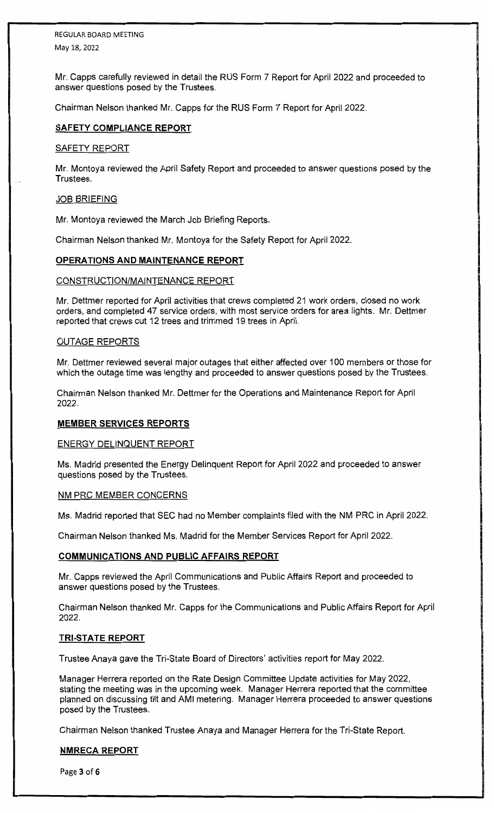Mr. Capps carefully reviewed in detail the RUS Form 7 Report for April 2022 and proceeded to answer questions posed by the Trustees.

Chairman Nelson thanked Mr. Capps for the RUS Form 7 Report for April 2022.

## **SAFETY COMPLIANCE REPORT**

## SAFETY REPORT

Mr. Montoya reviewed the April Safety Report and proceeded to answer questions posed by the Trustees.

## JOB BRIEFING

Mr. Montoya reviewed the March Job Briefing Reports.

Chairman Nelson thanked Mr. Montoya for the Safety Report for April 2022.

## **OPERATIONS AND MAINTENANCE REPORT**

## CONSTRUCTION/MAINTENANCE REPORT

Mr. Dettmer reported for April activities that crews completed 21 work orders, closed no work orders, and completed 47 service orders, with most service orders for area lights. Mr. Dettmer reported that crews cut 12 trees and trimmed 19 trees in April.

## <u>OUTAGE REPORTS</u>

Mr. Dettmer reviewed several major outages that either affected over 100 members or those for which the outage time was lengthy and proceeded to answer questions posed by the Trustees.

Chairman Nelson thanked Mr. Dettmer for the Operations and Maintenance Report for April 2022.

## **MEMBER SERVICES REPORTS**

## ENERGY DELINQUENT REPORT

Ms. Madrid presented the Energy Delinquent Report for April 2022 and proceeded to answer questions posed by the Trustees.

## NM PRC MEMBER CONCERNS

Ms. Madrid reported that SEC had no Member complaints filed with the NM PRC in April 2022.

Chairman Nelson thanked Ms. Madrid for the Member Services Report for April 2022.

## **COMMUNICATIONS AND PUBLIC AFFAIRS REPORT**

Mr. Capps reviewed the April Communications and Public Affairs Report and proceeded to answer questions posed by the Trustees.

Chairman Nelson thanked Mr. Capps for the Communications and Public Affairs Report for April 2022.

## **TRI-STATE REPORT**

Trustee Anaya gave the Tri-State Board of Directors' activities report for May 2022.

Manager Herrera reported on the Rate Design Committee Update activities for May 2022, stating the meeting was in the upcoming week. Manager Herrera reported that the committee planned on discussing tilt and AMI metering. Manager Herrera proceeded to answer questions posed by the Trustees.

Chairman Nelson thanked Trustee Anaya and Manager Herrera for the Tri-State Report.

# **NMRECA REPORT**

Page **3** of **6**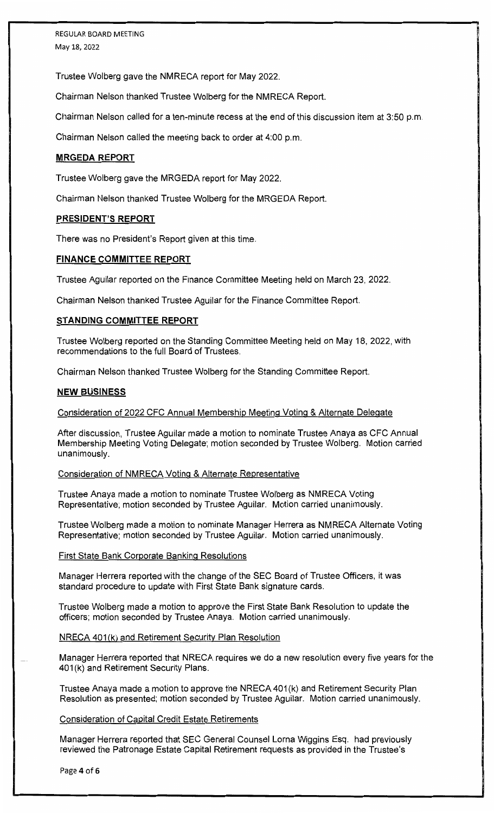Trustee Wolberg gave the NMRECA report for May 2022.

Chairman Nelson thanked Trustee Wolberg for the NMRECA Report.

Chairman Nelson called for a ten-minute recess at the end of this discussion item at 3:50 p.m.

Chairman Nelson called the meeting back to order at 4:00 p.m.

#### **MRGEDA REPORT**

Trustee Wolberg gave the MRGEDA report for May 2022.

Chairman Nelson thanked Trustee Wolberg for the MRGEDA Report.

#### **PRESIDENT'S REPORT**

There was no President's Report given at this time.

#### **FINANCE COMMITTEE REPORT**

Trustee Aguilar reported on the Finance Committee Meeting held on March 23, 2022.

Chairman Nelson thanked Trustee Aguilar for the Finance Committee Report.

#### **STANDING COMMITTEE REPORT**

Trustee Wolberg reported on the Standing Committee Meeting held on May 18, 2022, with recommendations to the full Board of Trustees.

Chairman Nelson thanked Trustee Walberg for the Standing Committee Report.

#### **NEW BUSINESS**

Consideration of 2022 CFC Annual Membership Meeting Voting & Alternate Delegate

After discussion, Trustee Aguilar made a motion to nominate Trustee Anaya as CFC Annual Membership Meeting Voting Delegate; motion seconded by Trustee Wolberg. Motion carried unanimously.

Consideration of NMRECA Voting & Alternate Representative

Trustee Anaya made a motion to nominate Trustee Walberg as NMRECA Voting Representative; motion seconded by Trustee Aguilar. Motion carried unanimously.

Trustee Walberg made a motion to nominate Manager Herrera as NMRECA Alternate Voting Representative; motion seconded by Trustee Aguilar. Motion carried unanimously.

#### First State Bank Corporate Banking Resolutions

Manager Herrera reported with the change of the SEC Board of Trustee Officers, it was standard procedure to update with First State Bank signature cards.

Trustee Walberg made a motion to approve the First State Bank Resolution to update the officers; motion seconded by Trustee Anaya. Motion carried unanimously.

#### NRECA 401 (k) and Retirement Security Plan Resolution

Manager Herrera reported that NRECA requires we do a new resolution every five years for the 401 (k) and Retirement Security Plans.

Trustee Anaya made a motion to approve the NRECA 401 (k) and Retirement Security Plan Resolution as presented; motion seconded by Trustee Aguilar. Motion carried unanimously.

#### Consideration of Capital Credit Estate Retirements

Manager Herrera reported that SEC General Counsel Lorna Wiggins Esq. had previously reviewed the Patronage Estate Capital Retirement requests as provided in the Trustee's

Page **4** of **6**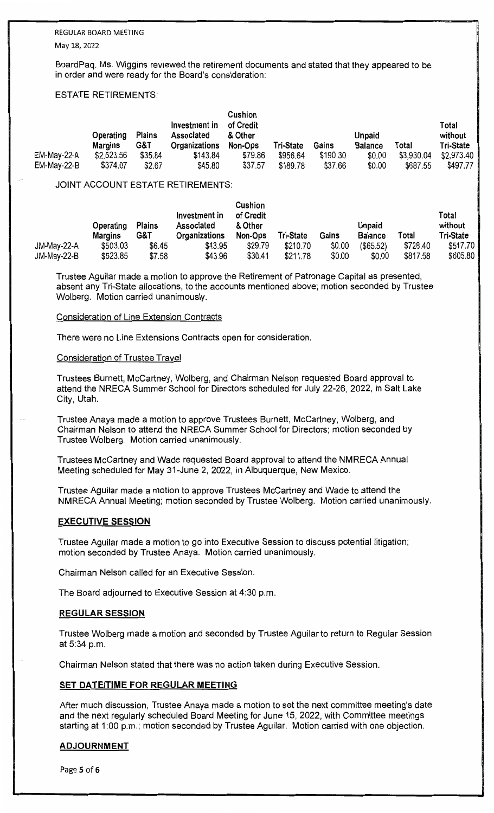# REGULAR BOARD MEETING

May 18, 2022

BoardPaq. Ms. Wiggins reviewed the retirement documents and stated that they appeared to be in order and were ready for the Board's consideration:

## ESTATE **RETIREMENTS:**

|             | Operating<br>Margins | <b>Plains</b><br>G&T | Investment in<br>Associated<br>Organizations | Cushion<br>of Credit<br>& Other<br>Non-Ops | Tri-State | Gains    | Unpaid<br><b>Balance</b> | Total      | Total<br>without<br><b>Tri-State</b> |
|-------------|----------------------|----------------------|----------------------------------------------|--------------------------------------------|-----------|----------|--------------------------|------------|--------------------------------------|
| EM-May-22-A | \$2,523.56           | \$35.84              | \$143.84                                     | \$79.86                                    | \$956.64  | \$190.30 | \$0.00                   | \$3,930.04 | \$2,973.40                           |
| EM-May-22-B | \$374.07             | \$2.67               | \$45.80                                      | \$37.57                                    | \$189.78  | \$37.66  | \$0.00                   | \$687.55   | \$497.77                             |

## JOINT ACCOUNT ESTATE RETIREMENTS:

|             | Operating<br><b>Margins</b> | <b>Plains</b><br>G&T | Investment in<br>Associated<br>Organizations | Cushion<br>of Credit<br>& Other<br>Non-Ops | <b>Tri-State</b> | Gains  | Unpaid<br><b>Balance</b> | Total    | Total<br>without<br><b>Tri-State</b> |
|-------------|-----------------------------|----------------------|----------------------------------------------|--------------------------------------------|------------------|--------|--------------------------|----------|--------------------------------------|
| JM-May-22-A | \$503.03                    | \$6.45               | \$43.95                                      | \$29.79                                    | \$210.70         | \$0.00 | $($ \$65.52)             | \$728.40 | \$517.70                             |
| JM-May-22-B | \$523.85                    | \$7.58               | \$43.96                                      | \$30.41                                    | \$211.78         | \$0.00 | \$0.00                   | \$817.58 | \$605.80                             |

Trustee Aguilar made a motion to approve the Retirement of Patronage Capital as presented, absent any Tri-State allocations, to the accounts mentioned above; motion seconded by Trustee Wolberg. Motion carried unanimously.

## Consideration of Line Extension Contracts

There were no Line Extensions Contracts open for consideration.

## Consideration of Trustee Travel

Trustees Burnett, McCartney, Wolberg, and Chairman Nelson requested Board approval to attend the NRECA Summer School for Directors scheduled for July 22-26, 2022, in Salt Lake City, Utah.

Trustee Anaya made a motion to approve Trustees Burnett, McCartney, Wolberg, and Chairman Nelson to attend the NRECA Summer School for Directors; motion seconded by Trustee Wolberg. Motion carried unanimously.

Trustees McCartney and Wade requested Board approval to attend the NMRECA Annual Meeting scheduled for May 31-June 2, 2022, in Albuquerque, New Mexico.

Trustee Aguilar made a motion to approve Trustees McCartney and Wade to attend the NMRECA Annual Meeting; motion seconded by Trustee Wolberg. Motion carried unanimously.

# **EXECUTIVE SESSION**

Trustee Aguilar made a motion to go into Executive Session to discuss potential litigation; motion seconded by Trustee Anaya. Motion carried unanimously.

Chairman Nelson called for an Executive Session.

The Board adjourned to Executive Session at 4:30 p.m.

# **REGULAR SESSION**

Trustee Wolberg made a motion and seconded by Trustee Aguilar to return to Regular Session at 5:34 p.m.

Chairman Nelson stated that there was no action taken during Executive Session.

## **SET DATE/TIME FOR REGULAR MEETING**

After much discussion, Trustee Anaya made a motion to set the next committee meeting's date and the next regularly scheduled Board Meeting for June 15, 2022, with Committee meetings starting at 1 :00 p.m.; motion seconded by Trustee Aguilar. Motion carried with one objection.

# **ADJOURNMENT**

Page **5** of **6**